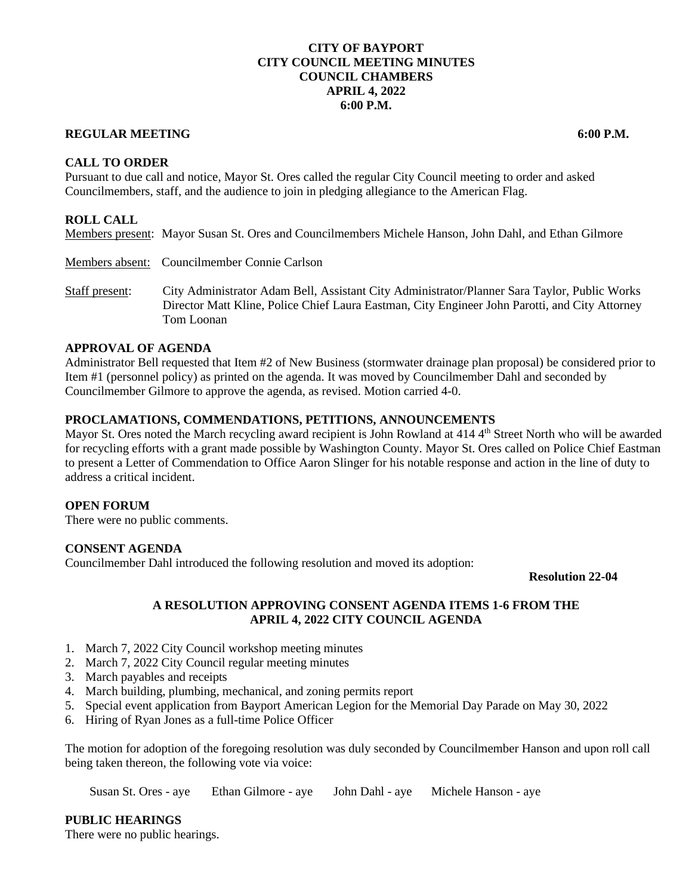## **CITY OF BAYPORT CITY COUNCIL MEETING MINUTES COUNCIL CHAMBERS APRIL 4, 2022 6:00 P.M.**

## **REGULAR MEETING 6:00 P.M.**

**CALL TO ORDER**

Pursuant to due call and notice, Mayor St. Ores called the regular City Council meeting to order and asked Councilmembers, staff, and the audience to join in pledging allegiance to the American Flag.

## **ROLL CALL**

Members present: Mayor Susan St. Ores and Councilmembers Michele Hanson, John Dahl, and Ethan Gilmore

Members absent: Councilmember Connie Carlson

Staff present: City Administrator Adam Bell, Assistant City Administrator/Planner Sara Taylor, Public Works Director Matt Kline, Police Chief Laura Eastman, City Engineer John Parotti, and City Attorney Tom Loonan

# **APPROVAL OF AGENDA**

Administrator Bell requested that Item #2 of New Business (stormwater drainage plan proposal) be considered prior to Item #1 (personnel policy) as printed on the agenda. It was moved by Councilmember Dahl and seconded by Councilmember Gilmore to approve the agenda, as revised. Motion carried 4-0.

## **PROCLAMATIONS, COMMENDATIONS, PETITIONS, ANNOUNCEMENTS**

Mayor St. Ores noted the March recycling award recipient is John Rowland at 414 4<sup>th</sup> Street North who will be awarded for recycling efforts with a grant made possible by Washington County. Mayor St. Ores called on Police Chief Eastman to present a Letter of Commendation to Office Aaron Slinger for his notable response and action in the line of duty to address a critical incident.

#### **OPEN FORUM**

There were no public comments.

#### **CONSENT AGENDA**

Councilmember Dahl introduced the following resolution and moved its adoption:

**Resolution 22-04**

## **A RESOLUTION APPROVING CONSENT AGENDA ITEMS 1-6 FROM THE APRIL 4, 2022 CITY COUNCIL AGENDA**

- 1. March 7, 2022 City Council workshop meeting minutes
- 2. March 7, 2022 City Council regular meeting minutes
- 3. March payables and receipts
- 4. March building, plumbing, mechanical, and zoning permits report
- 5. Special event application from Bayport American Legion for the Memorial Day Parade on May 30, 2022
- 6. Hiring of Ryan Jones as a full-time Police Officer

The motion for adoption of the foregoing resolution was duly seconded by Councilmember Hanson and upon roll call being taken thereon, the following vote via voice:

Susan St. Ores - aye Ethan Gilmore - aye John Dahl - aye Michele Hanson - aye

**PUBLIC HEARINGS**

There were no public hearings.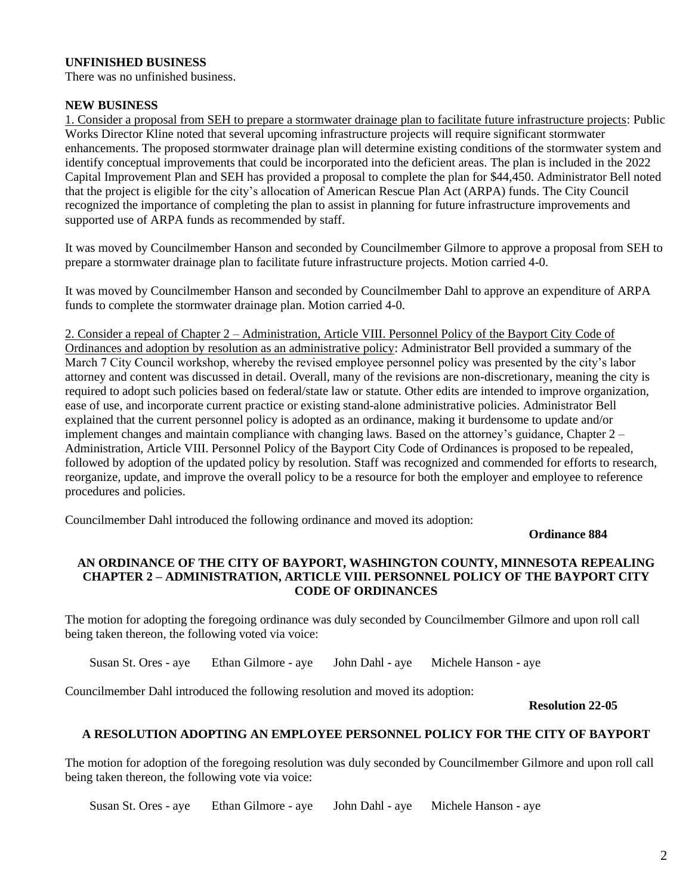# **UNFINISHED BUSINESS**

There was no unfinished business.

## **NEW BUSINESS**

1. Consider a proposal from SEH to prepare a stormwater drainage plan to facilitate future infrastructure projects: Public Works Director Kline noted that several upcoming infrastructure projects will require significant stormwater enhancements. The proposed stormwater drainage plan will determine existing conditions of the stormwater system and identify conceptual improvements that could be incorporated into the deficient areas. The plan is included in the 2022 Capital Improvement Plan and SEH has provided a proposal to complete the plan for \$44,450. Administrator Bell noted that the project is eligible for the city's allocation of American Rescue Plan Act (ARPA) funds. The City Council recognized the importance of completing the plan to assist in planning for future infrastructure improvements and supported use of ARPA funds as recommended by staff.

It was moved by Councilmember Hanson and seconded by Councilmember Gilmore to approve a proposal from SEH to prepare a stormwater drainage plan to facilitate future infrastructure projects. Motion carried 4-0.

It was moved by Councilmember Hanson and seconded by Councilmember Dahl to approve an expenditure of ARPA funds to complete the stormwater drainage plan. Motion carried 4-0.

2. Consider a repeal of Chapter 2 – Administration, Article VIII. Personnel Policy of the Bayport City Code of Ordinances and adoption by resolution as an administrative policy: Administrator Bell provided a summary of the March 7 City Council workshop, whereby the revised employee personnel policy was presented by the city's labor attorney and content was discussed in detail. Overall, many of the revisions are non-discretionary, meaning the city is required to adopt such policies based on federal/state law or statute. Other edits are intended to improve organization, ease of use, and incorporate current practice or existing stand-alone administrative policies. Administrator Bell explained that the current personnel policy is adopted as an ordinance, making it burdensome to update and/or implement changes and maintain compliance with changing laws. Based on the attorney's guidance, Chapter 2 – Administration, Article VIII. Personnel Policy of the Bayport City Code of Ordinances is proposed to be repealed, followed by adoption of the updated policy by resolution. Staff was recognized and commended for efforts to research, reorganize, update, and improve the overall policy to be a resource for both the employer and employee to reference procedures and policies.

Councilmember Dahl introduced the following ordinance and moved its adoption:

**Ordinance 884**

## **AN ORDINANCE OF THE CITY OF BAYPORT, WASHINGTON COUNTY, MINNESOTA REPEALING CHAPTER 2 – ADMINISTRATION, ARTICLE VIII. PERSONNEL POLICY OF THE BAYPORT CITY CODE OF ORDINANCES**

The motion for adopting the foregoing ordinance was duly seconded by Councilmember Gilmore and upon roll call being taken thereon, the following voted via voice:

Susan St. Ores - aye Ethan Gilmore - aye John Dahl - aye Michele Hanson - aye

Councilmember Dahl introduced the following resolution and moved its adoption:

**Resolution 22-05**

## **A RESOLUTION ADOPTING AN EMPLOYEE PERSONNEL POLICY FOR THE CITY OF BAYPORT**

The motion for adoption of the foregoing resolution was duly seconded by Councilmember Gilmore and upon roll call being taken thereon, the following vote via voice:

Susan St. Ores - aye Ethan Gilmore - aye John Dahl - aye Michele Hanson - aye